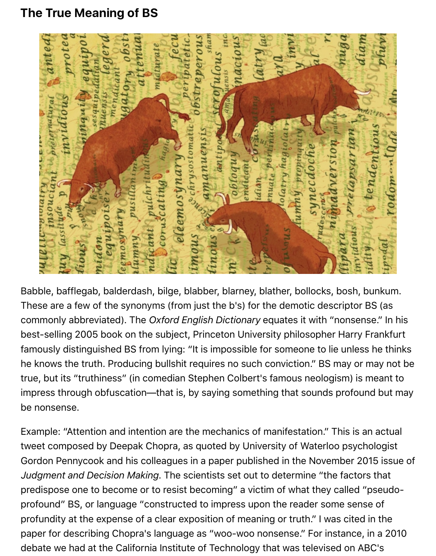## **The True Meaning of BS**



Babble, bafflegab, balderdash, bilge, blabber, blarney, blather, bollocks, bosh, bunkum. These are a few of the synonyms (from just the b's) for the demotic descriptor BS (as commonly abbreviated). The *Oxford English Dictionary* equates it with "nonsense." In his best-selling 2005 book on the subject, Princeton University philosopher Harry Frankfurt famously distinguished BS from lying: "It is impossible for someone to lie unless he thinks he knows the truth. Producing bullshit requires no such conviction." BS may or may not be true, but its "truthiness" (in comedian Stephen Colbert's famous neologism) is meant to impress through obfuscation—that is, by saying something that sounds profound but may be nonsense.

Example: "Attention and intention are the mechanics of manifestation." This is an actual tweet composed by Deepak Chopra, as quoted by University of Waterloo psychologist Gordon Pennycook and his colleagues in a paper published in the November 2015 issue of *Judgment and Decision Making*. The scientists set out to determine "the factors that predispose one to become or to resist becoming" a victim of what they called "pseudoprofound" BS, or language "constructed to impress upon the reader some sense of profundity at the expense of a clear exposition of meaning or truth." I was cited in the paper for describing Chopra's language as "woo-woo nonsense." For instance, in a 2010 debate we had at the California Institute of Technology that was televised on ABC's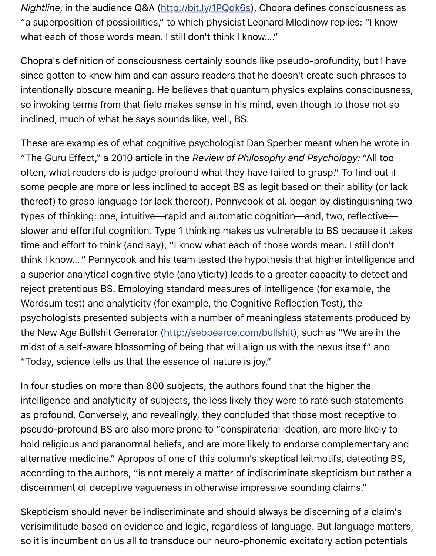since gotten to know him and c[an assure readers tha](http://bit.ly/1PQqk6s)t he doesn't create such phrases to intentionally obscure meaning. He believes that quantum physics explains conso so invoking terms from that field makes sense in his mind, even though to those inclined, much of what he says sounds like, well, BS.

These are examples of what cognitive psychologist Dan Sperber meant when he "The Guru Effect," a 2010 article in the *Review of Philosophy and Psychology: "A* often, what readers do is judge profound what they have failed to grasp." To find some people are more or less inclined to accept BS as legit based on their ability thereof) to grasp language (or lack thereof), Pennycook et al. began by distingui types of thinking: one, intuitive—rapid and automatic cognition—and, two, refled slower and effortful cognition. Type 1 thinking makes us vulnerable to BS becaus time and effort to think (and say), "I know what each of those words mean. I still think I know...." Pennycook and his team tested the hypothesis that higher intelligence and higher and the and a superior analytical cognitive style (analyticity) leads to a greater capacity to de reject pretentious BS. Employing standard measures of intelligence (for example Wordsum test) and analyticity (for example, the Cognitive Reflection Test), the psychologists presented subjects with a number of meaningless statements pro the New Age Bullshit Generator (http://sebpearce.com/bullshit), such as "We are midst of a self-aware blossoming of being that will align us with the nexus itself" "Today, science tells us that the essence of nature is joy."

In four studies on more than 800 subjects, the authors found that the higher the intelligence and analyticity of subjects, the less likely they were to rate such stat as profound. Conversely, and re[vealingly, they concluded that t](http://sebpearce.com/bullshit)hose most receptive to pseudo-profound BS are also more prone to "conspiratorial ideation, are more lil hold religious and paranormal beliefs, and are more likely to endorse complemer alternative medicine." Apropos of one of this column's skeptical leitmotifs, detection according to the authors, "is not merely a matter of indiscriminate skepticism bu discernment of deceptive vagueness in otherwise impressive sounding claims."

Skepticism should never be indiscriminate and should always be discerning of a verisimilitude based on evidence and logic, regardless of language. But language so it is incumbent on us all to transduce our neuro-phonemic excitatory action p